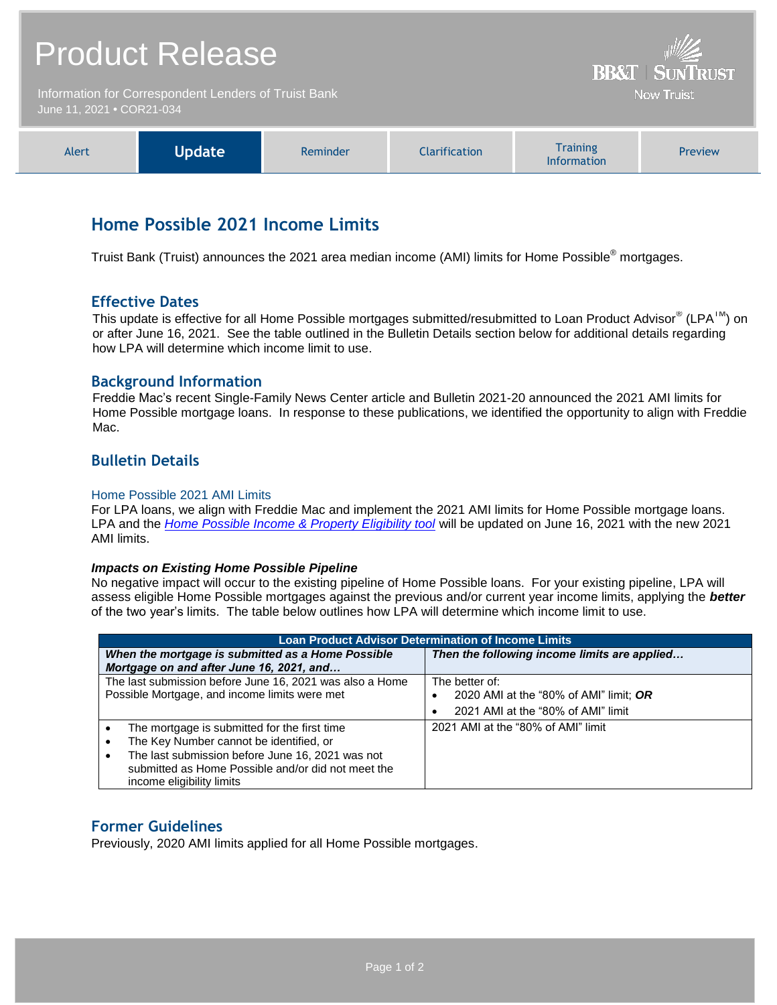|                                                                                   | <b>Product Release</b> | <b>BB&amp;T   SUNTRUST</b> |               |                                       |         |  |
|-----------------------------------------------------------------------------------|------------------------|----------------------------|---------------|---------------------------------------|---------|--|
| Information for Correspondent Lenders of Truist Bank<br>June 11, 2021 . COR21-034 |                        |                            |               | <b>Now Truist</b>                     |         |  |
| Alert                                                                             | <b>Update</b>          | Reminder                   | Clarification | <b>Training</b><br><b>Information</b> | Preview |  |

# **Home Possible 2021 Income Limits**

Truist Bank (Truist) announces the 2021 area median income (AMI) limits for Home Possible® mortgages.

## **Effective Dates**

This update is effective for all Home Possible mortgages submitted/resubmitted to Loan Product Advisor® (LPA™) on or after June 16, 2021. See the table outlined in the Bulletin Details section below for additional details regarding how LPA will determine which income limit to use.

### **Background Information**

Freddie Mac's recent Single-Family News Center article and Bulletin 2021-20 announced the 2021 AMI limits for Home Possible mortgage loans. In response to these publications, we identified the opportunity to align with Freddie Mac.

## **Bulletin Details**

#### Home Possible 2021 AMI Limits

For LPA loans, we align with Freddie Mac and implement the 2021 AMI limits for Home Possible mortgage loans. LPA and the *[Home Possible Income & Property Eligibility tool](http://www.freddiemac.com/homepossible/eligibility.html)* will be updated on June 16, 2021 with the new 2021 AMI limits.

#### *Impacts on Existing Home Possible Pipeline*

No negative impact will occur to the existing pipeline of Home Possible loans. For your existing pipeline, LPA will assess eligible Home Possible mortgages against the previous and/or current year income limits, applying the *better* of the two year's limits. The table below outlines how LPA will determine which income limit to use.

| <b>Loan Product Advisor Determination of Income Limits</b>                                                                                                                                                                                               |                                                                                                |  |  |  |
|----------------------------------------------------------------------------------------------------------------------------------------------------------------------------------------------------------------------------------------------------------|------------------------------------------------------------------------------------------------|--|--|--|
| When the mortgage is submitted as a Home Possible<br>Mortgage on and after June 16, 2021, and                                                                                                                                                            | Then the following income limits are applied                                                   |  |  |  |
| The last submission before June 16, 2021 was also a Home<br>Possible Mortgage, and income limits were met                                                                                                                                                | The better of:<br>2020 AMI at the "80% of AMI" limit; OR<br>2021 AMI at the "80% of AMI" limit |  |  |  |
| The mortgage is submitted for the first time<br>The Key Number cannot be identified, or<br>$\bullet$<br>The last submission before June 16, 2021 was not<br>$\bullet$<br>submitted as Home Possible and/or did not meet the<br>income eligibility limits | 2021 AMI at the "80% of AMI" limit                                                             |  |  |  |

## **Former Guidelines**

Previously, 2020 AMI limits applied for all Home Possible mortgages.